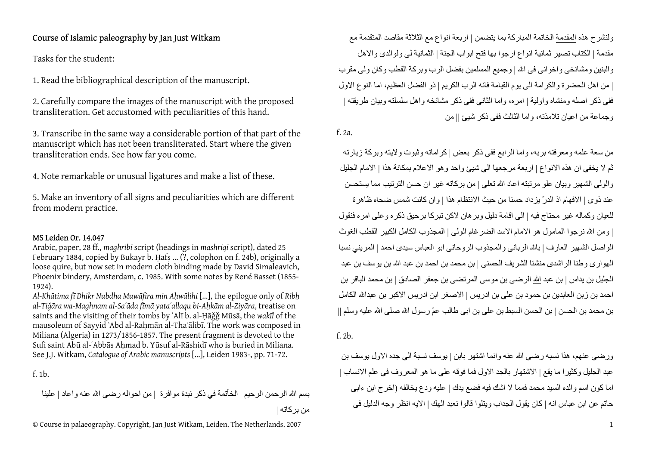## Course of Islamic paleography by Jan Just Witkam

Tasks for the student:

1. Read the bibliographical description of the manuscript.

2. Carefully compare the images of the manuscript with the proposed transliteration. Get accustomed with peculiarities of this hand.

3. Transcribe in the same way a considerable portion of that part of the manuscript which has not been transliterated. Start where the given transliteration ends. See how far you come.

4. Note remarkable or unusual ligatures and make a list of these.

5. Make an inventory of all signs and peculiarities which are different from modern practice.

## MS Leiden Or. 14.047

Arabic, paper, 28 ff., *maghribī* script (headings in *mashriqī* script), dated 25 February 1884, copied by Bukayr b. Ḥafṣ ... (?, colophon on f. 24b), originally a loose quire, but now set in modern cloth binding made by David Simaleavich, Phoenix bindery, Amsterdam, c. 1985. With some notes by René Basset (1855- 1924).

*Al-Kh<sup>ā</sup>tima fī Dhikr Nubdha Muw <sup>ā</sup>fira min A ḥ w<sup>ā</sup>lihi* […], the epilogue only of *Rib ḥ al-Tiǧāra wa-Maghnam al-Saʿāda f<sup>ī</sup><sup>m</sup> <sup>ā</sup> yata<sup>ʿ</sup>allaqu bi-A ḥkām al-Ziy āra*, treatise on saints and the visiting of their tombs by ʿAlī b. al-Ḥāǧǧ<sup>M</sup> ūsā, the *wakīl* of the mausoleum of Sayyid ʿAbd al-Raḥmān al-Thaʿālibī. The work was composed in Miliana (Algeria) in 1273/1856-1857. The present fragment is devoted to the Sufi saint Abū al-ʿAbbās Aḥmad b. Y ūsuf al-Rāshidī who is buried in Miliana. See J.J. Witkam, *Catalogue of Arabic manuscripts* […], Leiden 1983-, pp. 71-72.

f. 1b.

بسم االله الرحمن الرحيم | الخآتمة في ذآر نبدة موافرة | من احواله رضى االله عنه واعاد | علينا من برآاته |

© Course in palaeography. Copyright, Jan Just Witkam, Leiden, The Netherlands, 2007 <sup>1</sup>

ولنشر ح هذه المقدمة الخاتمة المبار كة بما يتضمن | ار بعة انواع مع الثلاثة مقاصد المتقدمة مع مقدمة | الكتاب تصير ثمانية انواع ارجوا بها فتح ابواب الجنة | الثمانية لى ولوالدى والاهل والبنين ومشائخي واخوانى فى الله | وجميع المسلمين بفضل الرب وبركة القطب وكان ولى مقرب | من اهل الحضرة والكرامة الى يوم القيامة فانه الرب الكريم | ذو الفضل العظيم، اما النوع الاول ففي ذكر اصله ومنشاه واولية | امر ه، واما الثاني ففي ذكر مشائخه واهل سلسلته وبيان طريقته | وجماعة من اعيان تلامذته، واما الثالث ففى ذكر شيئ || من

f. 2a.

من سعة علمه ومعرفته بربه، واما الرابع ففى ذكر بعض | كر اماته وثبوت ولايته وبركة زيارته ثم لا يخفي ان هذه الانواع | اربعة مرجعها الى شيئ واحد و هو الاعلام بمكانة هذا | الامام الجليل والولى الشهير وبيان علو مر تبته اعاد الله تعلى | من بر كاته غير ان حسن التر تبب مما يستحسن عند ذوى | الافهام اذ الدرّ يزداد حسنا من حيث الانتظام هذا | وان كانت شمس ضحاه ظاهرة للعيان وكماله غير محتاج فيه | الى اقامة دليل وبر هان لاكن تبركا برحيق ذكره وعلى امره فنقول | ومن االله نرجوا المامول هو الامام الاسد الضرغام الولى | المجذوب الكامل الكبير القطب الغوث الواصل الشهير العارف | باالله الربانى والمجذوب الروحانى ابو العباس سيدى احمد | المريني نسبا الهوارى وطنا الراشدى منشئا الشريف الحسنى | بن محمد بن احمد بن عبد االله بن يوسف بن عبد الجليل بن يداس | بن عبد الله الرضى بن موسى المرتضى بن جعفر الصادق | بن محمد الباقر بن احمد بن زبن العابدين بن حمود بن على بن ادريس | الاصغر ابن ادريس الاكبر بن عبدالله الكامل بن محمد بن الحسن | بن الحسن السبط بن على بن ابى طالب عمّ رسول االله صلى االله عليه وسلم ||

f. 2b.

ور ضـي عنـهم، هذا نسبه ر ضـي الله عنه و انمـا اشتهر بـابن | يوسف نسبـة الـي جده الاو ل يوسف بن عبد الجليل وكثيرا ما يقع | الاشتهار بالجد الاول فما فوقه على ما هو المعروف فى علم الانساب | اما كون اسم والده السيد محمد فمما لا اشك فيه فضع يدك | عليه ودع يخالفه (اخر ج ابن ءابي حاتم عن ابن عباس انه | كان يقول الجداب ويتلو ا قالو ا نعبد الهك | الايه انظر وجه الدليل فى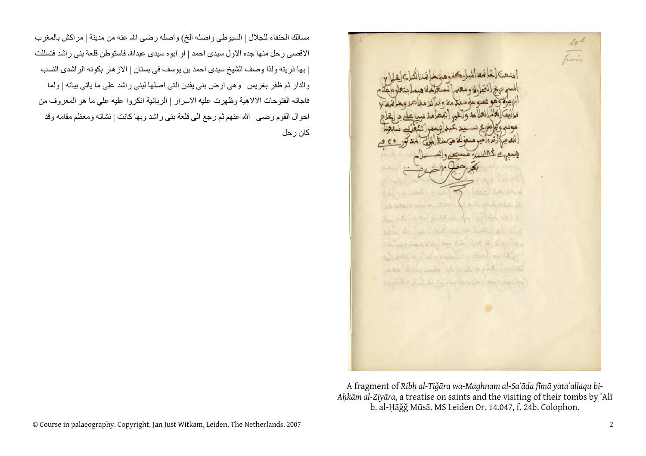$\mathcal{L}_Y$ finis على معدّ من وقرائز مقاصر وها تمدّ من لعلامة والحبى المعلمة سيرعلى براعا المصر كرند واعير عنقولة عي خط من المذكور ٥ ، ق وسعيد عمل المديد مستحدوله Destin in 29. We can a sin in Roal from it which and the si cellula disse di la gota isto shall at 1 into 1 x 15 can be shown to be alleged (A) my Days L. Day C.A. (200, St. Slap) la News of datable soldier the complete the could be well as after which contrib a Sind for her to write a sure days by

A fragment of *Ribḥ al-Tiǧāra wa-Maghnam al-Saʿāda f<sup>ī</sup>mā yata<sup>ʿ</sup>allaqu bi-<sup>A</sup>ḥkām al-Ziy<sup>ā</sup>ra*, a treatise on saints and the visiting of their tombs by ʿAl<sup>ī</sup> b. al-Ḥāǧǧ Mūs<sup>ā</sup>. MS Leiden Or. 14.047, f. 24b. Colophon.

مسالك الحنفاء للجلال | السيوطى واصله الخ) واصله رضى االله عنه من مدينة | مراآش بالمغرب الاقصى رحل منها جده الاول سيدى احمد | او ابوه سيدى عبداالله فاستوطن قلعة بنى راشد فتسللت | بها ذريته ولذا وصف الشيخ سيدى احمد بن يوسف فى بستان | الازهار بكونه الراشدى النسب والدار ثم ظفر بغريس | وهى ارض بنى يفدن التى اصلها لبنى راشد على ما ياتى بيانه | ولما فاجاته الفتوحات الالاهية وظهرت عليه الاسرار | الربانية انكروا عليه علي ما هو المعروف من احوال القوم رضى | الله عنهم ثم رجع الى قلعة بنى راشد وبها كانت | نشاته ومعظم مقامه وقد كان ر حل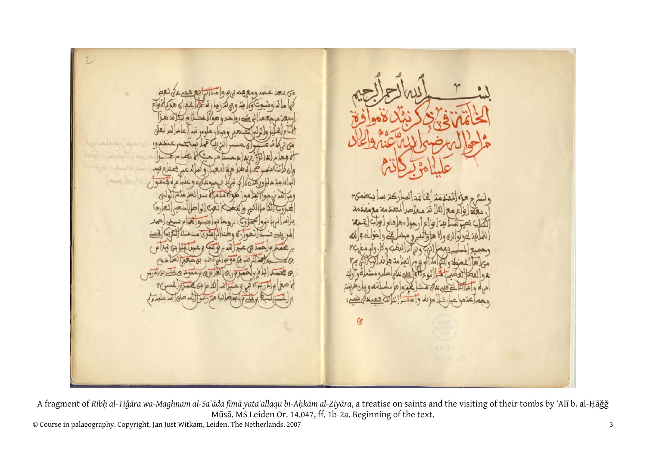م منبع و و المد ap LRy, ap as as applica  $\bigotimes$  $\mathcal{R}$ Golde  $\overline{\mathcal{M}}$ عوام ده، دمه  $|\mathcal{A}|$  or  $\alpha$ lo Langay Riggard  $\overline{G}$ 

© Course in palaeography. Copyright, Jan Just Witkam, Leiden, The Netherlands, 2007 <sup>3</sup> A fragment of Ribḥ al-Tiğāra wa-Maghnam al-Saʿāda fīmā yataʿallaqu bi-Aḥkām al-Ziyāra, a treatise on saints and the visiting of their tombs by ʿAlī b. al-Ḥāǧǧ <sup>M</sup>ūs<sup>ā</sup>. MS Leiden Or. 14.047, ff. 1b-2a. Beginning of the text.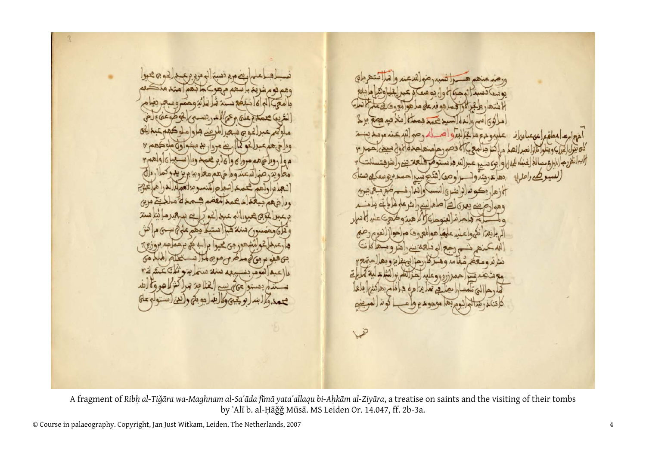$-2240060$  $P$  s GL عملا لحق  $12200$  $V$   $AB =$ un Cal  $916$  $969700$ شكينه ودا  $\frac{1}{2}$  $(2)$ تسعفر hal 20 L Such de caa 25 ind led an  $\sim$ أمه هـ دن  $x = 12$ مسلام يستوجها

Cerapporteration براكه كمدله صفا (شجس احمدبوه دها متع بالمحمد هوم لغار قسم  $A \cup A$  $\tilde{a}$ موشكند تسم حمد زروووعليد حبا الع بارى لم تلمسار بصرفع مما يزا

A fragment of Ribh al-Tiğāra wa-Maghnam al-Sa'āda fīmā yata'allaqu bi-Aḥkām al-Ziyāra, a treatise on saints and the visiting of their tombs by ʿAlī b. al-Ḥāǧǧ Mūsā. MS Leiden Or. 14.047, ff. 2b-3a.

© Course in palaeography. Copyright, Jan Just Witkam, Leiden, The Netherlands, 2007 <sup>4</sup>